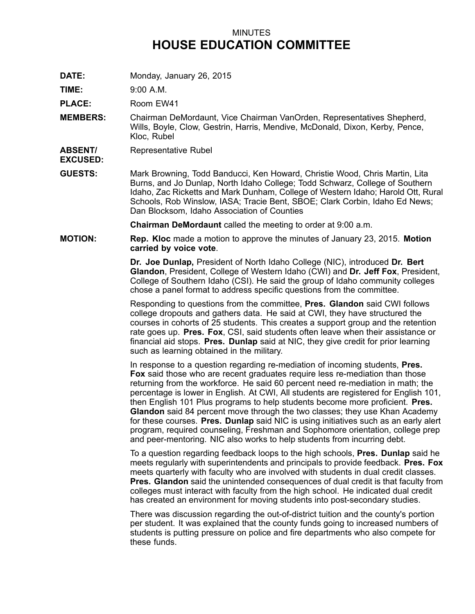## MINUTES **HOUSE EDUCATION COMMITTEE**

**DATE:** Monday, January 26, 2015

**TIME:** 9:00 A.M.

**PLACE:** Room EW41

- **MEMBERS:** Chairman DeMordaunt, Vice Chairman VanOrden, Representatives Shepherd, Wills, Boyle, Clow, Gestrin, Harris, Mendive, McDonald, Dixon, Kerby, Pence, Kloc, Rubel
- **ABSENT/** Representative Rubel

**EXCUSED:**

**GUESTS:** Mark Browning, Todd Banducci, Ken Howard, Christie Wood, Chris Martin, Lita Burns, and Jo Dunlap, North Idaho College; Todd Schwarz, College of Southern Idaho, Zac Ricketts and Mark Dunham, College of Western Idaho; Harold Ott, Rural Schools, Rob Winslow, IASA; Tracie Bent, SBOE; Clark Corbin, Idaho Ed News; Dan Blocksom, Idaho Association of Counties

**Chairman DeMordaunt** called the meeting to order at 9:00 a.m.

**MOTION: Rep. Kloc** made <sup>a</sup> motion to approve the minutes of January 23, 2015. **Motion carried by voice vote**.

> **Dr. Joe Dunlap,** President of North Idaho College (NIC), introduced **Dr. Bert Glandon**, President, College of Western Idaho (CWI) and **Dr. Jeff Fox**, President, College of Southern Idaho (CSI). He said the group of Idaho community colleges chose <sup>a</sup> panel format to address specific questions from the committee.

Responding to questions from the committee, **Pres. Glandon** said CWI follows college dropouts and gathers data. He said at CWI, they have structured the courses in cohorts of 25 students. This creates <sup>a</sup> support group and the retention rate goes up. **Pres. Fox**, CSI, said students often leave when their assistance or financial aid stops. **Pres. Dunlap** said at NIC, they give credit for prior learning such as learning obtained in the military.

In response to <sup>a</sup> question regarding re-mediation of incoming students, **Pres. Fox** said those who are recent graduates require less re-mediation than those returning from the workforce. He said 60 percent need re-mediation in math; the percentage is lower in English. At CWI, All students are registered for English 101, then English 101 Plus programs to help students become more proficient. **Pres. Glandon** said 84 percent move through the two classes; they use Khan Academy for these courses. **Pres. Dunlap** said NIC is using initiatives such as an early alert program, required counseling, Freshman and Sophomore orientation, college prep and peer-mentoring. NIC also works to help students from incurring debt.

To <sup>a</sup> question regarding feedback loops to the high schools, **Pres. Dunlap** said he meets regularly with superintendents and principals to provide feedback. **Pres. Fox** meets quarterly with faculty who are involved with students in dual credit classes. **Pres. Glandon** said the unintended consequences of dual credit is that faculty from colleges must interact with faculty from the high school. He indicated dual credit has created an environment for moving students into post-secondary studies.

There was discussion regarding the out-of-district tuition and the county's portion per student. It was explained that the county funds going to increased numbers of students is putting pressure on police and fire departments who also compete for these funds.